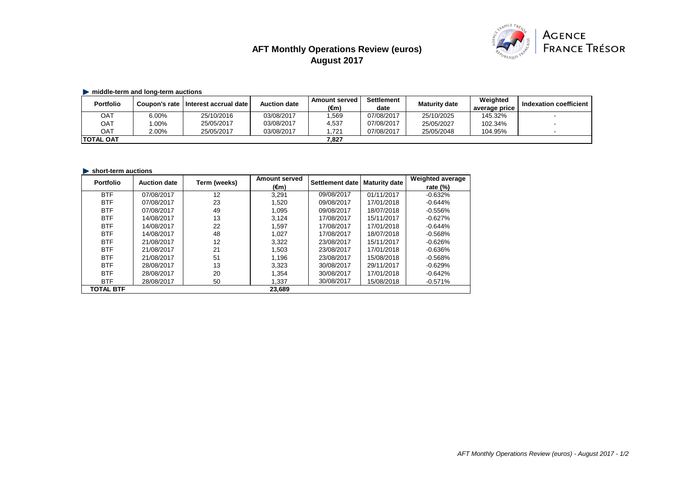# **AFT Monthly Operations Review (euros) August 2017**



## $\blacktriangleright$  middle-term and long-term auctions

| <b>Portfolio</b>  |         | Coupon's rate   Interest accrual date | <b>Auction date</b> | Amount served<br>$(\epsilon m)$ | <b>Settlement</b><br>date | <b>Maturity date</b> | Weighted<br>average price | Indexation coefficient |
|-------------------|---------|---------------------------------------|---------------------|---------------------------------|---------------------------|----------------------|---------------------------|------------------------|
| OAT               | 6.00%   | 25/10/2016                            | 03/08/2017          | .569                            | 07/08/2017                | 25/10/2025           | 145.32%                   |                        |
| OAT               | $.00\%$ | 25/05/2017                            | 03/08/2017          | 4,537                           | 07/08/2017                | 25/05/2027           | 102.34%                   |                        |
| <b>OAT</b>        | 2.00%   | 25/05/2017                            | 03/08/2017          | .721                            | 07/08/2017                | 25/05/2048           | 104.95%                   |                        |
| <b>ITOTAL OAT</b> |         |                                       |                     | 7.827                           |                           |                      |                           |                        |

## **short-term auctions**

| <b>Portfolio</b> | <b>Auction date</b> | Term (weeks) | <b>Amount served</b> | Settlement date | <b>Maturity date</b> | <b>Weighted average</b> |
|------------------|---------------------|--------------|----------------------|-----------------|----------------------|-------------------------|
|                  |                     |              | $(\epsilon m)$       |                 |                      | rate $(\%)$             |
| <b>BTF</b>       | 07/08/2017          | 12           | 3.291                | 09/08/2017      | 01/11/2017           | $-0.632%$               |
| <b>BTF</b>       | 07/08/2017          | 23           | 1.520                | 09/08/2017      | 17/01/2018           | $-0.644%$               |
| <b>BTF</b>       | 07/08/2017          | 49           | 1.095                | 09/08/2017      | 18/07/2018           | $-0.556%$               |
| <b>BTF</b>       | 14/08/2017          | 13           | 3,124                | 17/08/2017      | 15/11/2017           | $-0.627%$               |
| <b>BTF</b>       | 14/08/2017          | 22           | 1.597                | 17/08/2017      | 17/01/2018           | $-0.644%$               |
| <b>BTF</b>       | 14/08/2017          | 48           | 1.027                | 17/08/2017      | 18/07/2018           | $-0.568%$               |
| <b>BTF</b>       | 21/08/2017          | 12           | 3.322                | 23/08/2017      | 15/11/2017           | $-0.626%$               |
| <b>BTF</b>       | 21/08/2017          | 21           | 1,503                | 23/08/2017      | 17/01/2018           | $-0.636%$               |
| <b>BTF</b>       | 21/08/2017          | 51           | 1.196                | 23/08/2017      | 15/08/2018           | $-0.568%$               |
| <b>BTF</b>       | 28/08/2017          | 13           | 3,323                | 30/08/2017      | 29/11/2017           | $-0.629%$               |
| <b>BTF</b>       | 28/08/2017          | 20           | 1.354                | 30/08/2017      | 17/01/2018           | $-0.642%$               |
| <b>BTF</b>       | 28/08/2017          | 50           | 1,337                | 30/08/2017      | 15/08/2018           | $-0.571%$               |
| <b>TOTAL BTF</b> |                     |              | 23.689               |                 |                      |                         |